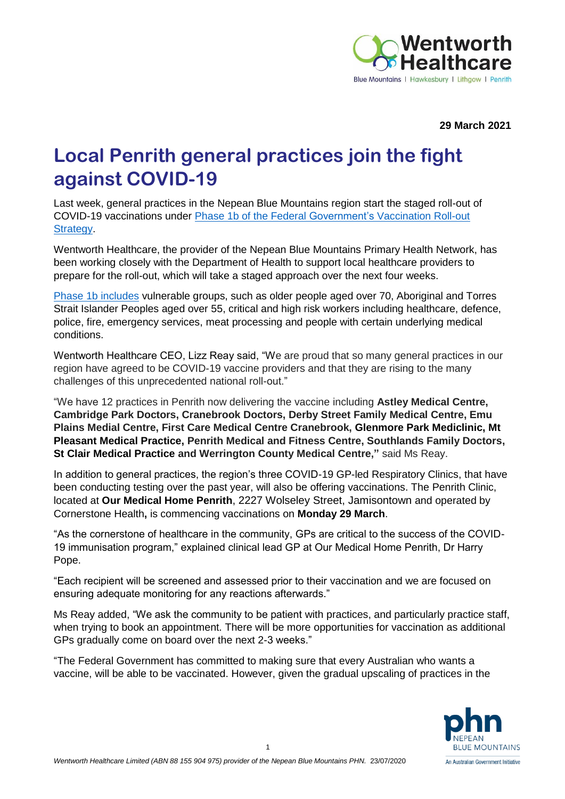

**29 March 2021**

# **Local Penrith general practices join the fight against COVID-19**

Last week, general practices in the Nepean Blue Mountains region start the staged roll-out of COVID-19 vaccinations under Phase 1b [of the Federal Government's Vaccination](https://www.health.gov.au/sites/default/files/documents/2021/01/covid-19-vaccination-australia-s-covid-19-vaccine-national-roll-out-strategy.pdf) Roll-out [Strategy.](https://www.health.gov.au/sites/default/files/documents/2021/01/covid-19-vaccination-australia-s-covid-19-vaccine-national-roll-out-strategy.pdf)

Wentworth Healthcare, the provider of the Nepean Blue Mountains Primary Health Network, has been working closely with the Department of Health to support local healthcare providers to prepare for the roll-out, which will take a staged approach over the next four weeks.

[Phase 1b](https://www.health.gov.au/sites/default/files/documents/2021/03/priority-groups-for-covid-19-vaccination-program-phase-1b.pdf) includes vulnerable groups, such as older people aged over 70, Aboriginal and Torres Strait Islander Peoples aged over 55, critical and high risk workers including healthcare, defence, police, fire, emergency services, meat processing and people with certain underlying medical conditions.

Wentworth Healthcare CEO, Lizz Reay said, "We are proud that so many general practices in our region have agreed to be COVID-19 vaccine providers and that they are rising to the many challenges of this unprecedented national roll-out."

"We have 12 practices in Penrith now delivering the vaccine including **Astley Medical Centre, Cambridge Park Doctors, Cranebrook Doctors, Derby Street Family Medical Centre, Emu Plains Medial Centre, First Care Medical Centre Cranebrook, Glenmore Park Mediclinic, Mt Pleasant Medical Practice, Penrith Medical and Fitness Centre, Southlands Family Doctors, St Clair Medical Practice and Werrington County Medical Centre,"** said Ms Reay.

In addition to general practices, the region's three COVID-19 GP-led Respiratory Clinics, that have been conducting testing over the past year, will also be offering vaccinations. The Penrith Clinic, located at **Our Medical Home Penrith**, 2227 Wolseley Street, Jamisontown and operated by Cornerstone Health**,** is commencing vaccinations on **Monday 29 March**.

"As the cornerstone of healthcare in the community, GPs are critical to the success of the COVID-19 immunisation program," explained clinical lead GP at Our Medical Home Penrith, Dr Harry Pope.

"Each recipient will be screened and assessed prior to their vaccination and we are focused on ensuring adequate monitoring for any reactions afterwards."

Ms Reay added, "We ask the community to be patient with practices, and particularly practice staff, when trying to book an appointment. There will be more opportunities for vaccination as additional GPs gradually come on board over the next 2-3 weeks."

"The Federal Government has committed to making sure that every Australian who wants a vaccine, will be able to be vaccinated. However, given the gradual upscaling of practices in the

1

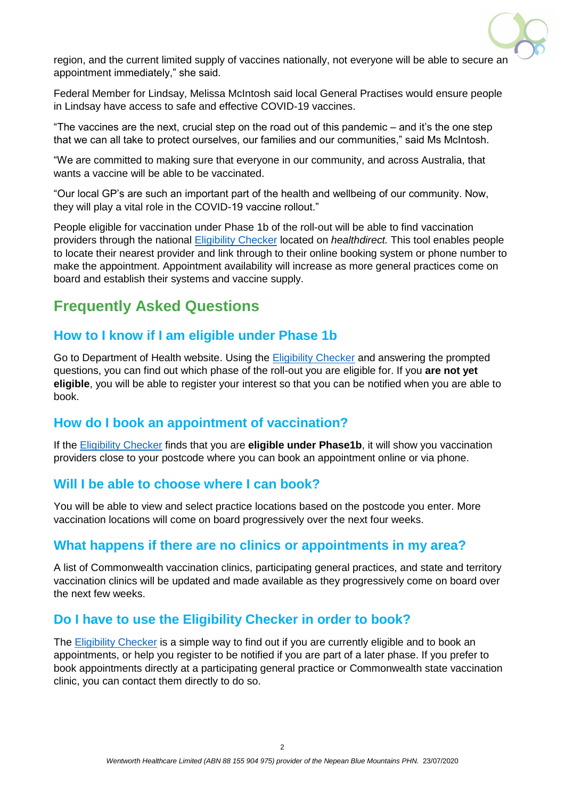

region, and the current limited supply of vaccines nationally, not everyone will be able to secure an appointment immediately," she said.

Federal Member for Lindsay, Melissa McIntosh said local General Practises would ensure people in Lindsay have access to safe and effective COVID-19 vaccines.

"The vaccines are the next, crucial step on the road out of this pandemic – and it's the one step that we can all take to protect ourselves, our families and our communities," said Ms McIntosh.

"We are committed to making sure that everyone in our community, and across Australia, that wants a vaccine will be able to be vaccinated.

"Our local GP's are such an important part of the health and wellbeing of our community. Now, they will play a vital role in the COVID-19 vaccine rollout."

People eligible for vaccination under Phase 1b of the roll-out will be able to find vaccination providers through the national [Eligibility Checker](https://covid-vaccine.healthdirect.gov.au/eligibility) located on *healthdirect.* This tool enables people to locate their nearest provider and link through to their online booking system or phone number to make the appointment. Appointment availability will increase as more general practices come on board and establish their systems and vaccine supply.

# **Frequently Asked Questions**

### **How to I know if I am eligible under Phase 1b**

Go to Department of Health website. Using the [Eligibility Checker](https://covid-vaccine.healthdirect.gov.au/eligibility) and answering the prompted questions, you can find out which phase of the roll-out you are eligible for. If you **are not yet eligible**, you will be able to register your interest so that you can be notified when you are able to book.

#### **How do I book an appointment of vaccination?**

If the [Eligibility Checker](https://covid-vaccine.healthdirect.gov.au/eligibility) finds that you are **eligible under Phase1b**, it will show you vaccination providers close to your postcode where you can book an appointment online or via phone.

#### **Will I be able to choose where I can book?**

You will be able to view and select practice locations based on the postcode you enter. More vaccination locations will come on board progressively over the next four weeks.

#### **What happens if there are no clinics or appointments in my area?**

A list of Commonwealth vaccination clinics, participating general practices, and state and territory vaccination clinics will be updated and made available as they progressively come on board over the next few weeks.

#### **Do I have to use the Eligibility Checker in order to book?**

The [Eligibility Checker](https://covid-vaccine.healthdirect.gov.au/eligibility) is a simple way to find out if you are currently eligible and to book an appointments, or help you register to be notified if you are part of a later phase. If you prefer to book appointments directly at a participating general practice or Commonwealth state vaccination clinic, you can contact them directly to do so.